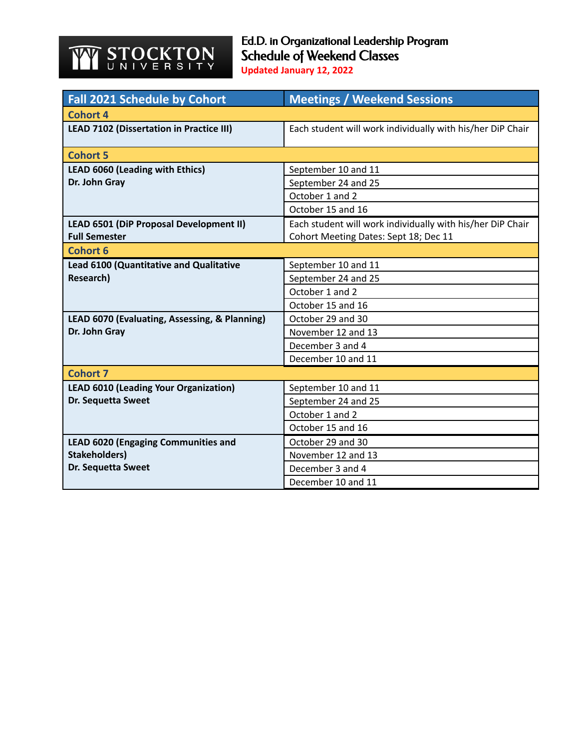## **STOCKTON** YY

Ed.D. in Organizational Leadership Program Schedule of Weekend Classes **Updated January 12, 2022**

| <b>Fall 2021 Schedule by Cohort</b>             | <b>Meetings / Weekend Sessions</b>                         |  |
|-------------------------------------------------|------------------------------------------------------------|--|
| Cohort 4                                        |                                                            |  |
| <b>LEAD 7102 (Dissertation in Practice III)</b> | Each student will work individually with his/her DiP Chair |  |
| <b>Cohort 5</b>                                 |                                                            |  |
| <b>LEAD 6060 (Leading with Ethics)</b>          | September 10 and 11                                        |  |
| Dr. John Gray                                   | September 24 and 25                                        |  |
|                                                 | October 1 and 2                                            |  |
|                                                 | October 15 and 16                                          |  |
| <b>LEAD 6501 (DiP Proposal Development II)</b>  | Each student will work individually with his/her DiP Chair |  |
| <b>Full Semester</b>                            | Cohort Meeting Dates: Sept 18; Dec 11                      |  |
| <b>Cohort 6</b>                                 |                                                            |  |
| <b>Lead 6100 (Quantitative and Qualitative</b>  | September 10 and 11                                        |  |
| Research)                                       | September 24 and 25                                        |  |
|                                                 | October 1 and 2                                            |  |
|                                                 | October 15 and 16                                          |  |
| LEAD 6070 (Evaluating, Assessing, & Planning)   | October 29 and 30                                          |  |
| Dr. John Gray                                   | November 12 and 13                                         |  |
|                                                 | December 3 and 4                                           |  |
|                                                 | December 10 and 11                                         |  |
| <b>Cohort 7</b>                                 |                                                            |  |
| <b>LEAD 6010 (Leading Your Organization)</b>    | September 10 and 11                                        |  |
| Dr. Sequetta Sweet                              | September 24 and 25                                        |  |
|                                                 | October 1 and 2                                            |  |
|                                                 | October 15 and 16                                          |  |
| <b>LEAD 6020 (Engaging Communities and</b>      | October 29 and 30                                          |  |
| <b>Stakeholders)</b>                            | November 12 and 13                                         |  |
| Dr. Sequetta Sweet                              | December 3 and 4                                           |  |
|                                                 | December 10 and 11                                         |  |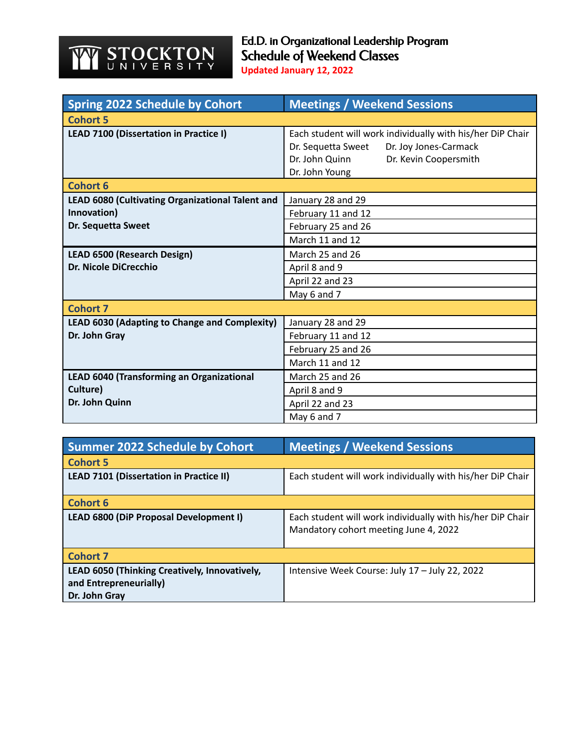## **STOCKTON** YY

| <b>Spring 2022 Schedule by Cohort</b>            | <b>Meetings / Weekend Sessions</b>                                                                                                                                     |  |
|--------------------------------------------------|------------------------------------------------------------------------------------------------------------------------------------------------------------------------|--|
| <b>Cohort 5</b>                                  |                                                                                                                                                                        |  |
| LEAD 7100 (Dissertation in Practice I)           | Each student will work individually with his/her DiP Chair<br>Dr. Sequetta Sweet<br>Dr. Joy Jones-Carmack<br>Dr. John Quinn<br>Dr. Kevin Coopersmith<br>Dr. John Young |  |
| <b>Cohort 6</b>                                  |                                                                                                                                                                        |  |
| LEAD 6080 (Cultivating Organizational Talent and | January 28 and 29                                                                                                                                                      |  |
| Innovation)                                      | February 11 and 12                                                                                                                                                     |  |
| Dr. Sequetta Sweet                               | February 25 and 26                                                                                                                                                     |  |
|                                                  | March 11 and 12                                                                                                                                                        |  |
| <b>LEAD 6500 (Research Design)</b>               | March 25 and 26                                                                                                                                                        |  |
| <b>Dr. Nicole DiCrecchio</b>                     | April 8 and 9                                                                                                                                                          |  |
|                                                  | April 22 and 23                                                                                                                                                        |  |
|                                                  | May 6 and 7                                                                                                                                                            |  |
| <b>Cohort 7</b>                                  |                                                                                                                                                                        |  |
| LEAD 6030 (Adapting to Change and Complexity)    | January 28 and 29                                                                                                                                                      |  |
| Dr. John Gray                                    | February 11 and 12                                                                                                                                                     |  |
|                                                  | February 25 and 26                                                                                                                                                     |  |
|                                                  | March 11 and 12                                                                                                                                                        |  |
| LEAD 6040 (Transforming an Organizational        | March 25 and 26                                                                                                                                                        |  |
| Culture)                                         | April 8 and 9                                                                                                                                                          |  |
| Dr. John Quinn                                   | April 22 and 23                                                                                                                                                        |  |
|                                                  | May 6 and 7                                                                                                                                                            |  |

| <b>Summer 2022 Schedule by Cohort</b>          | <b>Meetings / Weekend Sessions</b>                                                                  |
|------------------------------------------------|-----------------------------------------------------------------------------------------------------|
| <b>Cohort 5</b>                                |                                                                                                     |
| <b>LEAD 7101 (Dissertation in Practice II)</b> | Each student will work individually with his/her DiP Chair                                          |
| <b>Cohort 6</b>                                |                                                                                                     |
| LEAD 6800 (DiP Proposal Development I)         | Each student will work individually with his/her DiP Chair<br>Mandatory cohort meeting June 4, 2022 |
| <b>Cohort 7</b>                                |                                                                                                     |
| LEAD 6050 (Thinking Creatively, Innovatively,  | Intensive Week Course: July 17 - July 22, 2022                                                      |
| and Entrepreneurially)                         |                                                                                                     |
| Dr. John Gray                                  |                                                                                                     |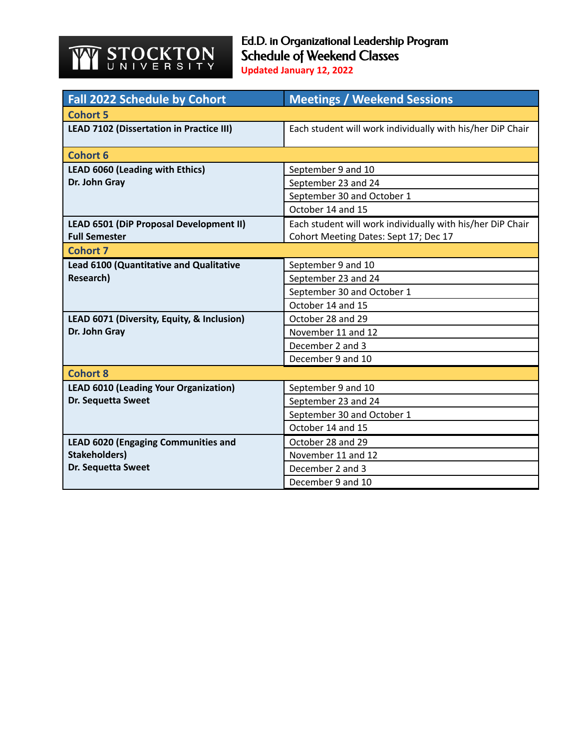## **STOCKTON** YY

Ed.D. in Organizational Leadership Program Schedule of Weekend Classes **Updated January 12, 2022**

| <b>Fall 2022 Schedule by Cohort</b>             | <b>Meetings / Weekend Sessions</b>                         |
|-------------------------------------------------|------------------------------------------------------------|
| <b>Cohort 5</b>                                 |                                                            |
| <b>LEAD 7102 (Dissertation in Practice III)</b> | Each student will work individually with his/her DiP Chair |
| <b>Cohort 6</b>                                 |                                                            |
| <b>LEAD 6060 (Leading with Ethics)</b>          | September 9 and 10                                         |
| Dr. John Gray                                   | September 23 and 24                                        |
|                                                 | September 30 and October 1                                 |
|                                                 | October 14 and 15                                          |
| LEAD 6501 (DiP Proposal Development II)         | Each student will work individually with his/her DiP Chair |
| <b>Full Semester</b>                            | Cohort Meeting Dates: Sept 17; Dec 17                      |
| <b>Cohort 7</b>                                 |                                                            |
| Lead 6100 (Quantitative and Qualitative         | September 9 and 10                                         |
| Research)                                       | September 23 and 24                                        |
|                                                 | September 30 and October 1                                 |
|                                                 | October 14 and 15                                          |
| LEAD 6071 (Diversity, Equity, & Inclusion)      | October 28 and 29                                          |
| Dr. John Gray                                   | November 11 and 12                                         |
|                                                 | December 2 and 3                                           |
|                                                 | December 9 and 10                                          |
| <b>Cohort 8</b>                                 |                                                            |
| <b>LEAD 6010 (Leading Your Organization)</b>    | September 9 and 10                                         |
| Dr. Sequetta Sweet                              | September 23 and 24                                        |
|                                                 | September 30 and October 1                                 |
|                                                 | October 14 and 15                                          |
| <b>LEAD 6020 (Engaging Communities and</b>      | October 28 and 29                                          |
| <b>Stakeholders)</b>                            | November 11 and 12                                         |
| Dr. Sequetta Sweet                              | December 2 and 3                                           |
|                                                 | December 9 and 10                                          |